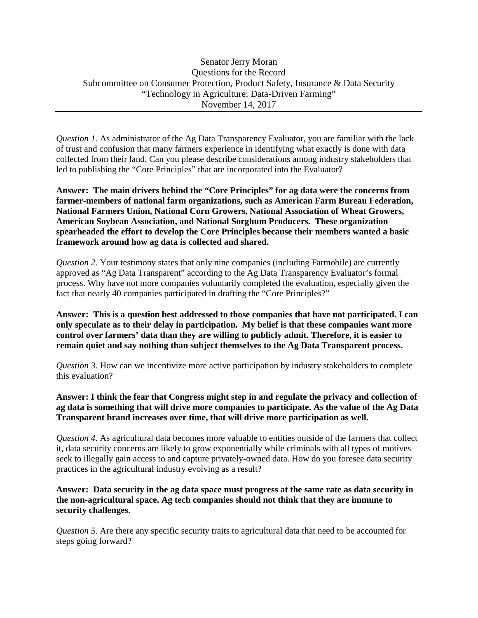*Question 1.* As administrator of the Ag Data Transparency Evaluator, you are familiar with the lack of trust and confusion that many farmers experience in identifying what exactly is done with data collected from their land. Can you please describe considerations among industry stakeholders that led to publishing the "Core Principles" that are incorporated into the Evaluator?

**Answer: The main drivers behind the "Core Principles" for ag data were the concerns from farmer-members of national farm organizations, such as American Farm Bureau Federation, National Farmers Union, National Corn Growers, National Association of Wheat Growers, American Soybean Association, and National Sorghum Producers. These organization spearheaded the effort to develop the Core Principles because their members wanted a basic framework around how ag data is collected and shared.** 

*Question 2.* Your testimony states that only nine companies (including Farmobile) are currently approved as "Ag Data Transparent" according to the Ag Data Transparency Evaluator's formal process. Why have not more companies voluntarily completed the evaluation, especially given the fact that nearly 40 companies participated in drafting the "Core Principles?"

**Answer: This is a question best addressed to those companies that have not participated. I can only speculate as to their delay in participation. My belief is that these companies want more control over farmers' data than they are willing to publicly admit. Therefore, it is easier to remain quiet and say nothing than subject themselves to the Ag Data Transparent process.** 

*Question 3.* How can we incentivize more active participation by industry stakeholders to complete this evaluation?

**Answer: I think the fear that Congress might step in and regulate the privacy and collection of ag data is something that will drive more companies to participate. As the value of the Ag Data Transparent brand increases over time, that will drive more participation as well.**

*Question 4.* As agricultural data becomes more valuable to entities outside of the farmers that collect it, data security concerns are likely to grow exponentially while criminals with all types of motives seek to illegally gain access to and capture privately-owned data. How do you foresee data security practices in the agricultural industry evolving as a result?

**Answer: Data security in the ag data space must progress at the same rate as data security in the non-agricultural space. Ag tech companies should not think that they are immune to security challenges.** 

*Question 5.* Are there any specific security traits to agricultural data that need to be accounted for steps going forward?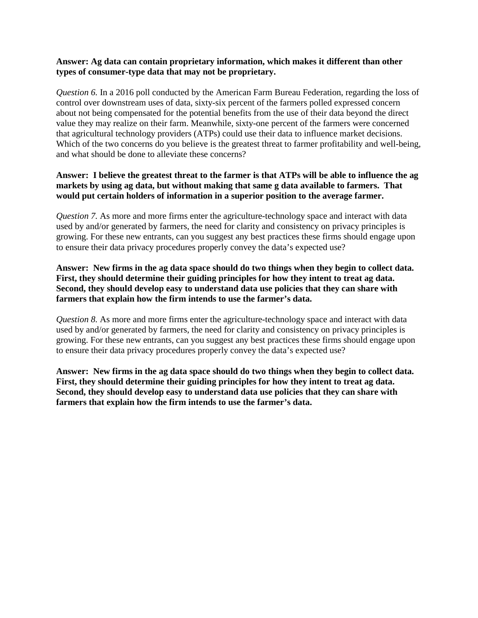## **Answer: Ag data can contain proprietary information, which makes it different than other types of consumer-type data that may not be proprietary.**

*Question 6.* In a 2016 poll conducted by the American Farm Bureau Federation, regarding the loss of control over downstream uses of data, sixty-six percent of the farmers polled expressed concern about not being compensated for the potential benefits from the use of their data beyond the direct value they may realize on their farm. Meanwhile, sixty-one percent of the farmers were concerned that agricultural technology providers (ATPs) could use their data to influence market decisions. Which of the two concerns do you believe is the greatest threat to farmer profitability and well-being, and what should be done to alleviate these concerns?

## **Answer: I believe the greatest threat to the farmer is that ATPs will be able to influence the ag markets by using ag data, but without making that same g data available to farmers. That would put certain holders of information in a superior position to the average farmer.**

*Question 7.* As more and more firms enter the agriculture-technology space and interact with data used by and/or generated by farmers, the need for clarity and consistency on privacy principles is growing. For these new entrants, can you suggest any best practices these firms should engage upon to ensure their data privacy procedures properly convey the data's expected use?

## **Answer: New firms in the ag data space should do two things when they begin to collect data. First, they should determine their guiding principles for how they intent to treat ag data. Second, they should develop easy to understand data use policies that they can share with farmers that explain how the firm intends to use the farmer's data.**

*Question 8.* As more and more firms enter the agriculture-technology space and interact with data used by and/or generated by farmers, the need for clarity and consistency on privacy principles is growing. For these new entrants, can you suggest any best practices these firms should engage upon to ensure their data privacy procedures properly convey the data's expected use?

**Answer: New firms in the ag data space should do two things when they begin to collect data. First, they should determine their guiding principles for how they intent to treat ag data. Second, they should develop easy to understand data use policies that they can share with farmers that explain how the firm intends to use the farmer's data.**